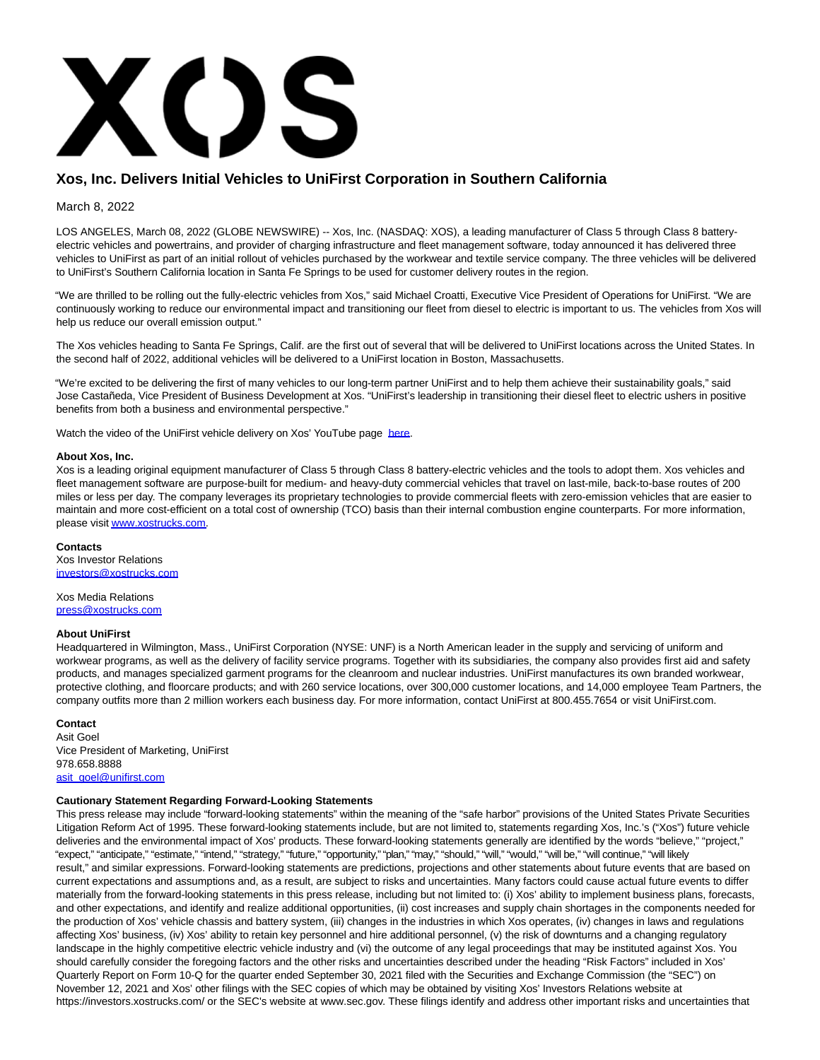

# **Xos, Inc. Delivers Initial Vehicles to UniFirst Corporation in Southern California**

# March 8, 2022

LOS ANGELES, March 08, 2022 (GLOBE NEWSWIRE) -- Xos, Inc. (NASDAQ: XOS), a leading manufacturer of Class 5 through Class 8 batteryelectric vehicles and powertrains, and provider of charging infrastructure and fleet management software, today announced it has delivered three vehicles to UniFirst as part of an initial rollout of vehicles purchased by the workwear and textile service company. The three vehicles will be delivered to UniFirst's Southern California location in Santa Fe Springs to be used for customer delivery routes in the region.

"We are thrilled to be rolling out the fully-electric vehicles from Xos," said Michael Croatti, Executive Vice President of Operations for UniFirst. "We are continuously working to reduce our environmental impact and transitioning our fleet from diesel to electric is important to us. The vehicles from Xos will help us reduce our overall emission output."

The Xos vehicles heading to Santa Fe Springs, Calif. are the first out of several that will be delivered to UniFirst locations across the United States. In the second half of 2022, additional vehicles will be delivered to a UniFirst location in Boston, Massachusetts.

"We're excited to be delivering the first of many vehicles to our long-term partner UniFirst and to help them achieve their sustainability goals," said Jose Castañeda, Vice President of Business Development at Xos. "UniFirst's leadership in transitioning their diesel fleet to electric ushers in positive benefits from both a business and environmental perspective."

Watch the video of the UniFirst vehicle delivery on Xos' YouTube page [here.](https://www.globenewswire.com/Tracker?data=TEHVtUjOZ8oAt93ufbv_dQNIti52p_H0gWzs8kPsZpFGoba-hZLJH_AlkbRwbyeAy3bUhs0RQG4ZbGmsFQF0G2FCrl9A7qLxqPwNHLEp5B0=)

#### **About Xos, Inc.**

Xos is a leading original equipment manufacturer of Class 5 through Class 8 battery-electric vehicles and the tools to adopt them. Xos vehicles and fleet management software are purpose-built for medium- and heavy-duty commercial vehicles that travel on last-mile, back-to-base routes of 200 miles or less per day. The company leverages its proprietary technologies to provide commercial fleets with zero-emission vehicles that are easier to maintain and more cost-efficient on a total cost of ownership (TCO) basis than their internal combustion engine counterparts. For more information, please visi[t www.xostrucks.com.](https://www.globenewswire.com/Tracker?data=5zhynxO1PMS5KLFvF2PZh26DF-UyLN7RtrKjIAZQuwNj5mA5J7qfngumXvl3Xd8H9nOPy1tPUiHkx6hP9OPbHw==)

# **Contacts**

Xos Investor Relations [investors@xostrucks.com](https://www.globenewswire.com/Tracker?data=TZazBZFGjbd61SUqYehZv9_zVsU5HGm1EIzfZa4PrUlLtlghKRtRL29PhpC0tOCaNiyGyvWwjolGgMYex0KhRrpgd8gk8vVk9y3d5hb27sk=)

#### Xos Media Relations [press@xostrucks.com](https://www.globenewswire.com/Tracker?data=aqMTxU23uWIgHeKTsyeK4rYRpmAyZZjtx-PIfl6YAf41EeMb79VvkvHipqPIYQr0XlRp11LLGyyxCOReZhQ4s9eKuQyvfHQDqS6mgjHlcKc=)

# **About UniFirst**

Headquartered in Wilmington, Mass., UniFirst Corporation (NYSE: UNF) is a North American leader in the supply and servicing of uniform and workwear programs, as well as the delivery of facility service programs. Together with its subsidiaries, the company also provides first aid and safety products, and manages specialized garment programs for the cleanroom and nuclear industries. UniFirst manufactures its own branded workwear, protective clothing, and floorcare products; and with 260 service locations, over 300,000 customer locations, and 14,000 employee Team Partners, the company outfits more than 2 million workers each business day. For more information, contact UniFirst at 800.455.7654 or visit UniFirst.com.

#### **Contact** Asit Goel Vice President of Marketing, UniFirst 978.658.8888 [asit\\_goel@unifirst.com](https://www.globenewswire.com/Tracker?data=cdis0v6SPQbeq6ujHCjIVkQpLddtIhBgxFZVU2EO9AhO34lG2QODmcuZ2vN08R8Drhy6G1B19b-wYDmJUFKWr9VW-cWtNFPs1b_1fY5AZS4=)

# **Cautionary Statement Regarding Forward-Looking Statements**

This press release may include "forward-looking statements" within the meaning of the "safe harbor" provisions of the United States Private Securities Litigation Reform Act of 1995. These forward-looking statements include, but are not limited to, statements regarding Xos, Inc.'s ("Xos") future vehicle deliveries and the environmental impact of Xos' products. These forward-looking statements generally are identified by the words "believe," "project," "expect," "anticipate," "estimate," "intend," "strategy," "future," "opportunity," "plan," "may," "should," "will," "would," "will be," "will continue," "will likely result," and similar expressions. Forward-looking statements are predictions, projections and other statements about future events that are based on current expectations and assumptions and, as a result, are subject to risks and uncertainties. Many factors could cause actual future events to differ materially from the forward-looking statements in this press release, including but not limited to: (i) Xos' ability to implement business plans, forecasts, and other expectations, and identify and realize additional opportunities, (ii) cost increases and supply chain shortages in the components needed for the production of Xos' vehicle chassis and battery system, (iii) changes in the industries in which Xos operates, (iv) changes in laws and regulations affecting Xos' business, (iv) Xos' ability to retain key personnel and hire additional personnel, (v) the risk of downturns and a changing regulatory landscape in the highly competitive electric vehicle industry and (vi) the outcome of any legal proceedings that may be instituted against Xos. You should carefully consider the foregoing factors and the other risks and uncertainties described under the heading "Risk Factors" included in Xos' Quarterly Report on Form 10-Q for the quarter ended September 30, 2021 filed with the Securities and Exchange Commission (the "SEC") on November 12, 2021 and Xos' other filings with the SEC copies of which may be obtained by visiting Xos' Investors Relations website at https://investors.xostrucks.com/ or the SEC's website at www.sec.gov. These filings identify and address other important risks and uncertainties that